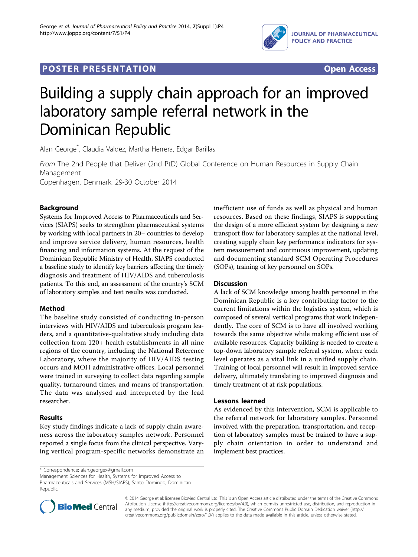

## **POSTER PRESENTATION CONSUMING ACCESS**



# Building a supply chain approach for an improved laboratory sample referral network in the Dominican Republic

Alan George\* , Claudia Valdez, Martha Herrera, Edgar Barillas

From The 2nd People that Deliver (2nd PtD) Global Conference on Human Resources in Supply Chain Management

Copenhagen, Denmark. 29-30 October 2014

### Background

Systems for Improved Access to Pharmaceuticals and Services (SIAPS) seeks to strengthen pharmaceutical systems by working with local partners in 20+ countries to develop and improve service delivery, human resources, health financing and information systems. At the request of the Dominican Republic Ministry of Health, SIAPS conducted a baseline study to identify key barriers affecting the timely diagnosis and treatment of HIV/AIDS and tuberculosis patients. To this end, an assessment of the country's SCM of laboratory samples and test results was conducted.

#### Method

The baseline study consisted of conducting in-person interviews with HIV/AIDS and tuberculosis program leaders, and a quantitative-qualitative study including data collection from 120+ health establishments in all nine regions of the country, including the National Reference Laboratory, where the majority of HIV/AIDS testing occurs and MOH administrative offices. Local personnel were trained in surveying to collect data regarding sample quality, turnaround times, and means of transportation. The data was analysed and interpreted by the lead researcher.

#### Results

Key study findings indicate a lack of supply chain awareness across the laboratory samples network. Personnel reported a single focus from the clinical perspective. Varying vertical program-specific networks demonstrate an inefficient use of funds as well as physical and human resources. Based on these findings, SIAPS is supporting the design of a more efficient system by: designing a new transport flow for laboratory samples at the national level, creating supply chain key performance indicators for system measurement and continuous improvement, updating and documenting standard SCM Operating Procedures (SOPs), training of key personnel on SOPs.

#### **Discussion**

A lack of SCM knowledge among health personnel in the Dominican Republic is a key contributing factor to the current limitations within the logistics system, which is composed of several vertical programs that work independently. The core of SCM is to have all involved working towards the same objective while making efficient use of available resources. Capacity building is needed to create a top-down laboratory sample referral system, where each level operates as a vital link in a unified supply chain. Training of local personnel will result in improved service delivery, ultimately translating to improved diagnosis and timely treatment of at risk populations.

#### Lessons learned

As evidenced by this intervention, SCM is applicable to the referral network for laboratory samples. Personnel involved with the preparation, transportation, and reception of laboratory samples must be trained to have a supply chain orientation in order to understand and implement best practices.

\* Correspondence: [alan.georgex@gmail.com](mailto:alan.georgex@gmail.com)

Management Sciences for Health, Systems for Improved Access to Pharmaceuticals and Services (MSH/SIAPS), Santo Domingo, Dominican Republic



© 2014 George et al; licensee BioMed Central Ltd. This is an Open Access article distributed under the terms of the Creative Commons Attribution License [\(http://creativecommons.org/licenses/by/4.0](http://creativecommons.org/licenses/by/4.0)), which permits unrestricted use, distribution, and reproduction in any medium, provided the original work is properly cited. The Creative Commons Public Domain Dedication waiver [\(http://](http://creativecommons.org/publicdomain/zero/1.0/) [creativecommons.org/publicdomain/zero/1.0/](http://creativecommons.org/publicdomain/zero/1.0/)) applies to the data made available in this article, unless otherwise stated.